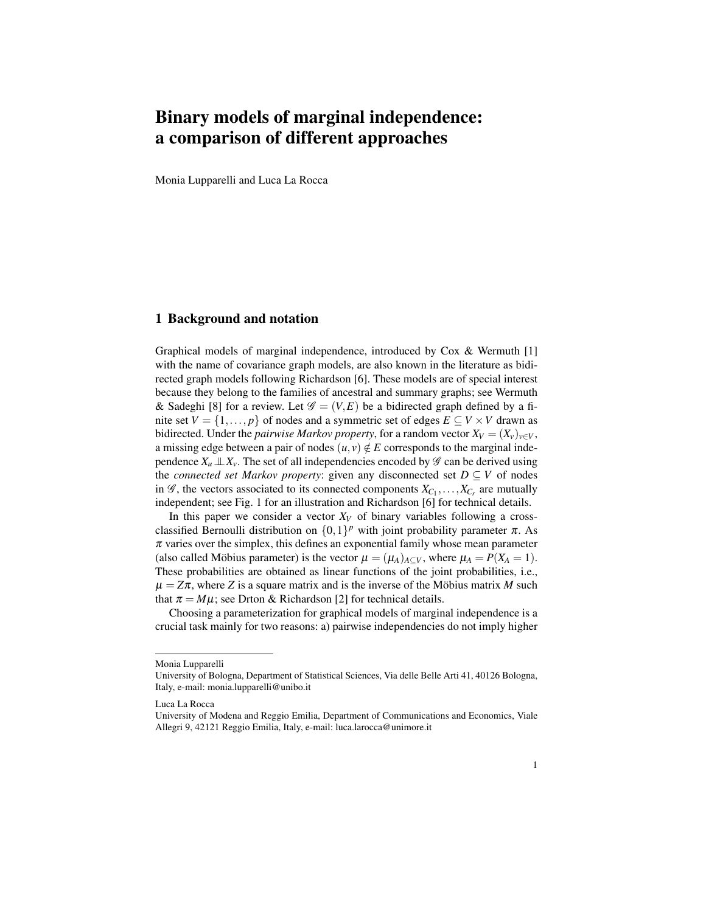# Binary models of marginal independence: a comparison of different approaches

Monia Lupparelli and Luca La Rocca

## 1 Background and notation

Graphical models of marginal independence, introduced by  $\cos \alpha$  Wermuth [1] with the name of covariance graph models, are also known in the literature as bidirected graph models following Richardson [6]. These models are of special interest because they belong to the families of ancestral and summary graphs; see Wermuth & Sadeghi [8] for a review. Let  $\mathscr{G} = (V, E)$  be a bidirected graph defined by a finite set  $V = \{1, \ldots, p\}$  of nodes and a symmetric set of edges  $E \subseteq V \times V$  drawn as bidirected. Under the *pairwise Markov property*, for a random vector  $X_V = (X_V)_{V \in V}$ , a missing edge between a pair of nodes  $(u, v) \notin E$  corresponds to the marginal independence  $X_u \perp X_v$ . The set of all independencies encoded by  $\mathscr G$  can be derived using the *connected set Markov property*: given any disconnected set  $D \subseteq V$  of nodes in  $\mathscr{G}$ , the vectors associated to its connected components  $X_{C_1}, \ldots, X_{C_r}$  are mutually independent; see Fig. 1 for an illustration and Richardson [6] for technical details.

In this paper we consider a vector  $X_V$  of binary variables following a crossclassified Bernoulli distribution on  $\{0,1\}^p$  with joint probability parameter  $\pi$ . As  $\pi$  varies over the simplex, this defines an exponential family whose mean parameter (also called Möbius parameter) is the vector  $\mu = (\mu_A)_{A \subseteq V}$ , where  $\mu_A = P(X_A = 1)$ . These probabilities are obtained as linear functions of the joint probabilities, i.e.,  $\mu = Z\pi$ , where *Z* is a square matrix and is the inverse of the Möbius matrix *M* such that  $\pi = M\mu$ ; see Drton & Richardson [2] for technical details.

Choosing a parameterization for graphical models of marginal independence is a crucial task mainly for two reasons: a) pairwise independencies do not imply higher

Monia Lupparelli

University of Bologna, Department of Statistical Sciences, Via delle Belle Arti 41, 40126 Bologna, Italy, e-mail: monia.lupparelli@unibo.it

Luca La Rocca

University of Modena and Reggio Emilia, Department of Communications and Economics, Viale Allegri 9, 42121 Reggio Emilia, Italy, e-mail: luca.larocca@unimore.it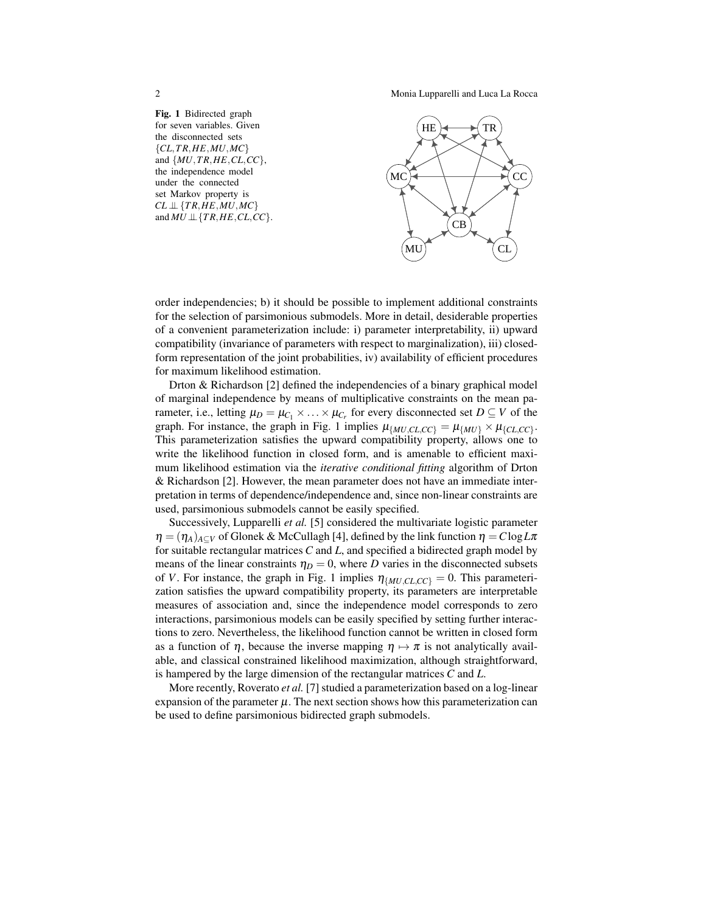2 Monia Lupparelli and Luca La Rocca





order independencies; b) it should be possible to implement additional constraints for the selection of parsimonious submodels. More in detail, desiderable properties of a convenient parameterization include: i) parameter interpretability, ii) upward compatibility (invariance of parameters with respect to marginalization), iii) closedform representation of the joint probabilities, iv) availability of efficient procedures for maximum likelihood estimation.

Drton & Richardson [2] defined the independencies of a binary graphical model of marginal independence by means of multiplicative constraints on the mean parameter, i.e., letting  $\mu_D = \mu_{C_1} \times ... \times \mu_{C_r}$  for every disconnected set  $D \subseteq V$  of the graph. For instance, the graph in Fig. 1 implies  $\mu_{\{MU, CL, CC\}} = \mu_{\{MU\}} \times \mu_{\{CL, CC\}}$ . This parameterization satisfies the upward compatibility property, allows one to write the likelihood function in closed form, and is amenable to efficient maximum likelihood estimation via the *iterative conditional fitting* algorithm of Drton & Richardson [2]. However, the mean parameter does not have an immediate interpretation in terms of dependence/independence and, since non-linear constraints are used, parsimonious submodels cannot be easily specified.

Successively, Lupparelli *et al.* [5] considered the multivariate logistic parameter  $\eta = (\eta_A)_{A\subset V}$  of Glonek & McCullagh [4], defined by the link function  $\eta = C \log L \pi$ for suitable rectangular matrices *C* and *L*, and specified a bidirected graph model by means of the linear constraints  $\eta_D = 0$ , where *D* varies in the disconnected subsets of *V*. For instance, the graph in Fig. 1 implies  $\eta_{\{MU, CL, CC\}} = 0$ . This parameterization satisfies the upward compatibility property, its parameters are interpretable measures of association and, since the independence model corresponds to zero interactions, parsimonious models can be easily specified by setting further interactions to zero. Nevertheless, the likelihood function cannot be written in closed form as a function of  $\eta$ , because the inverse mapping  $\eta \mapsto \pi$  is not analytically available, and classical constrained likelihood maximization, although straightforward, is hampered by the large dimension of the rectangular matrices *C* and *L*.

More recently, Roverato *et al.* [7] studied a parameterization based on a log-linear expansion of the parameter  $\mu$ . The next section shows how this parameterization can be used to define parsimonious bidirected graph submodels.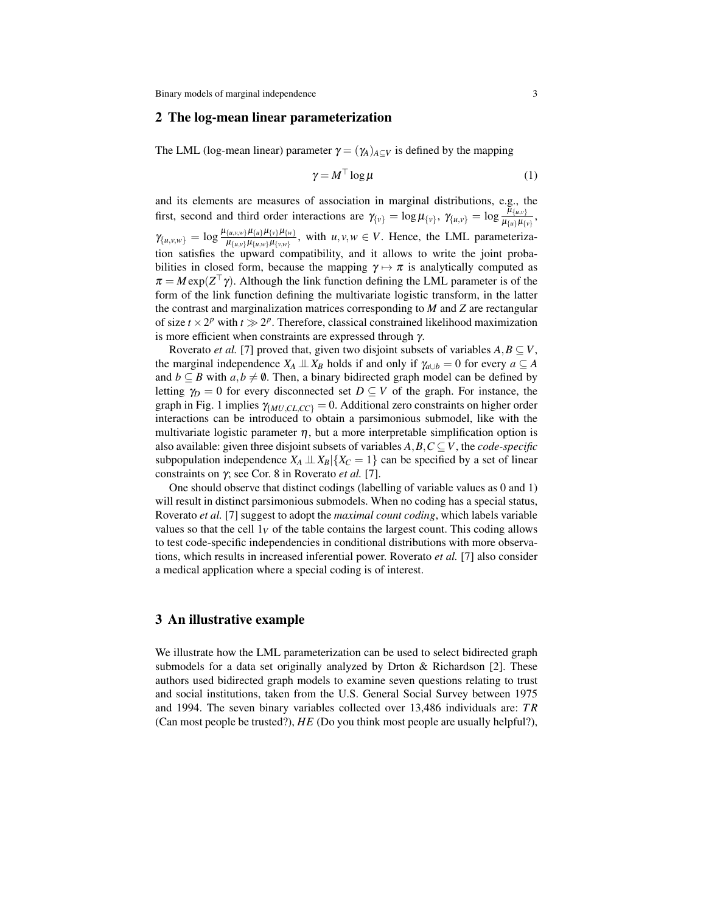#### 2 The log-mean linear parameterization

The LML (log-mean linear) parameter  $\gamma = (\gamma_A)_{A \subset V}$  is defined by the mapping

$$
\gamma = M^{\top} \log \mu \tag{1}
$$

and its elements are measures of association in marginal distributions, e.g., the first, second and third order interactions are  $\gamma_{\{v\}} = \log \mu_{\{v\}}, \gamma_{\{u,v\}} = \log \frac{\bar{\mu}_{\{u,v\}}}{\mu_{\{u\}}\mu_{\{v\}}},$  $\gamma_{\{u,v,w\}} = \log \frac{\mu_{\{u,v,w\}} \mu_{\{u\}} \mu_{\{v\}} \mu_{\{w\}}}{\mu_{\{u,v\}} \mu_{\{u,w\}} \mu_{\{v,w\}}}$ , with  $u,v,w \in V$ . Hence, the LML parameterization satisfies the upward compatibility, and it allows to write the joint probabilities in closed form, because the mapping  $\gamma \mapsto \pi$  is analytically computed as  $\pi = M \exp(Z^\top \gamma)$ . Although the link function defining the LML parameter is of the form of the link function defining the multivariate logistic transform, in the latter the contrast and marginalization matrices corresponding to *M* and *Z* are rectangular of size  $t \times 2^p$  with  $t \gg 2^p$ . Therefore, classical constrained likelihood maximization is more efficient when constraints are expressed through  $\gamma$ .

Roverato *et al.* [7] proved that, given two disjoint subsets of variables  $A, B \subseteq V$ , the marginal independence  $X_A \perp \!\!\!\perp X_B$  holds if and only if  $\gamma_{a \cup b} = 0$  for every  $a \subseteq A$ and  $b \subseteq B$  with  $a, b \neq \emptyset$ . Then, a binary bidirected graph model can be defined by letting  $\gamma_D = 0$  for every disconnected set  $D \subseteq V$  of the graph. For instance, the graph in Fig. 1 implies  $\gamma_{MULCL, CC} = 0$ . Additional zero constraints on higher order interactions can be introduced to obtain a parsimonious submodel, like with the multivariate logistic parameter  $\eta$ , but a more interpretable simplification option is also available: given three disjoint subsets of variables  $A, B, C \subseteq V$ , the *code-specific* subpopulation independence  $X_A \perp \!\!\!\perp X_B | \{X_C = 1\}$  can be specified by a set of linear constraints on γ; see Cor. 8 in Roverato *et al.* [7].

One should observe that distinct codings (labelling of variable values as 0 and 1) will result in distinct parsimonious submodels. When no coding has a special status, Roverato *et al.* [7] suggest to adopt the *maximal count coding*, which labels variable values so that the cell  $1_V$  of the table contains the largest count. This coding allows to test code-specific independencies in conditional distributions with more observations, which results in increased inferential power. Roverato *et al.* [7] also consider a medical application where a special coding is of interest.

## 3 An illustrative example

We illustrate how the LML parameterization can be used to select bidirected graph submodels for a data set originally analyzed by Drton & Richardson [2]. These authors used bidirected graph models to examine seven questions relating to trust and social institutions, taken from the U.S. General Social Survey between 1975 and 1994. The seven binary variables collected over 13,486 individuals are: *T R* (Can most people be trusted?), *HE* (Do you think most people are usually helpful?),